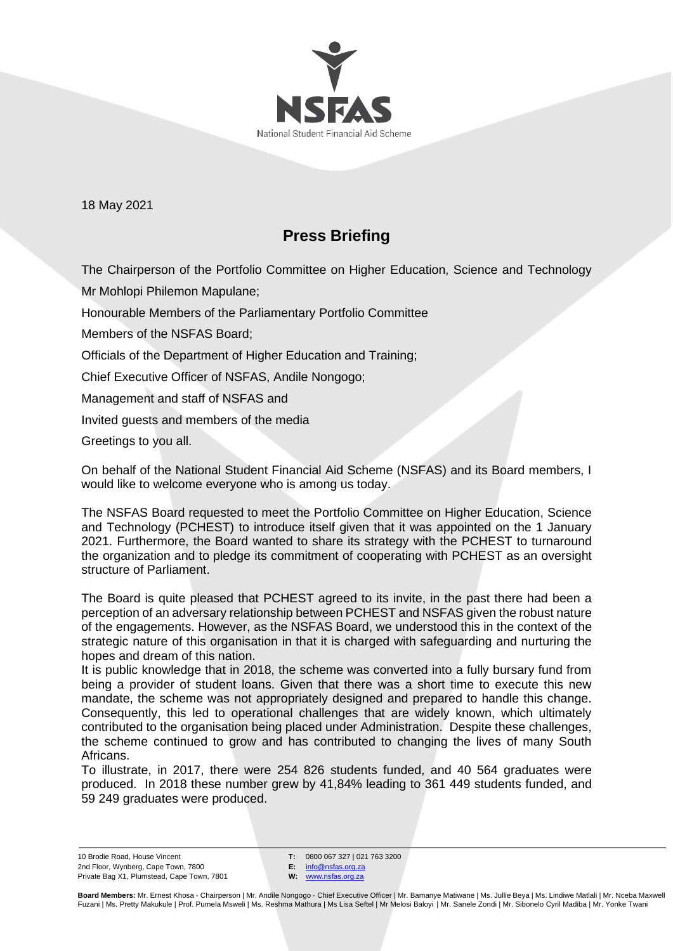

18 May 2021

## **Press Briefing**

The Chairperson of the Portfolio Committee on Higher Education, Science and Technology Mr Mohlopi Philemon Mapulane;

Honourable Members of the Parliamentary Portfolio Committee

Members of the NSFAS Board;

Officials of the Department of Higher Education and Training;

Chief Executive Officer of NSFAS, Andile Nongogo;

Management and staff of NSFAS and

Invited guests and members of the media

Greetings to you all.

On behalf of the National Student Financial Aid Scheme (NSFAS) and its Board members, I would like to welcome everyone who is among us today.

The NSFAS Board requested to meet the Portfolio Committee on Higher Education, Science and Technology (PCHEST) to introduce itself given that it was appointed on the 1 January 2021. Furthermore, the Board wanted to share its strategy with the PCHEST to turnaround the organization and to pledge its commitment of cooperating with PCHEST as an oversight structure of Parliament.

The Board is quite pleased that PCHEST agreed to its invite, in the past there had been a perception of an adversary relationship between PCHEST and NSFAS given the robust nature of the engagements. However, as the NSFAS Board, we understood this in the context of the strategic nature of this organisation in that it is charged with safeguarding and nurturing the hopes and dream of this nation.

It is public knowledge that in 2018, the scheme was converted into a fully bursary fund from being a provider of student loans. Given that there was a short time to execute this new mandate, the scheme was not appropriately designed and prepared to handle this change. Consequently, this led to operational challenges that are widely known, which ultimately contributed to the organisation being placed under Administration. Despite these challenges, the scheme continued to grow and has contributed to changing the lives of many South Africans.

To illustrate, in 2017, there were 254 826 students funded, and 40 564 graduates were produced. In 2018 these number grew by 41,84% leading to 361 449 students funded, and 59 249 graduates were produced.

10 Brodie Road, House Vincent 2nd Floor, Wynberg, Cape Town, 7800 Private Bag X1, Plumstead, Cape Town, 7801 **T:** 0800 067 327 | 021 763 3200

**E:** [info@nsfas.org.za](mailto:info@nsfas.org.za) **W:** [www.nsfas.org.za](http://www.nsfas.org.za/)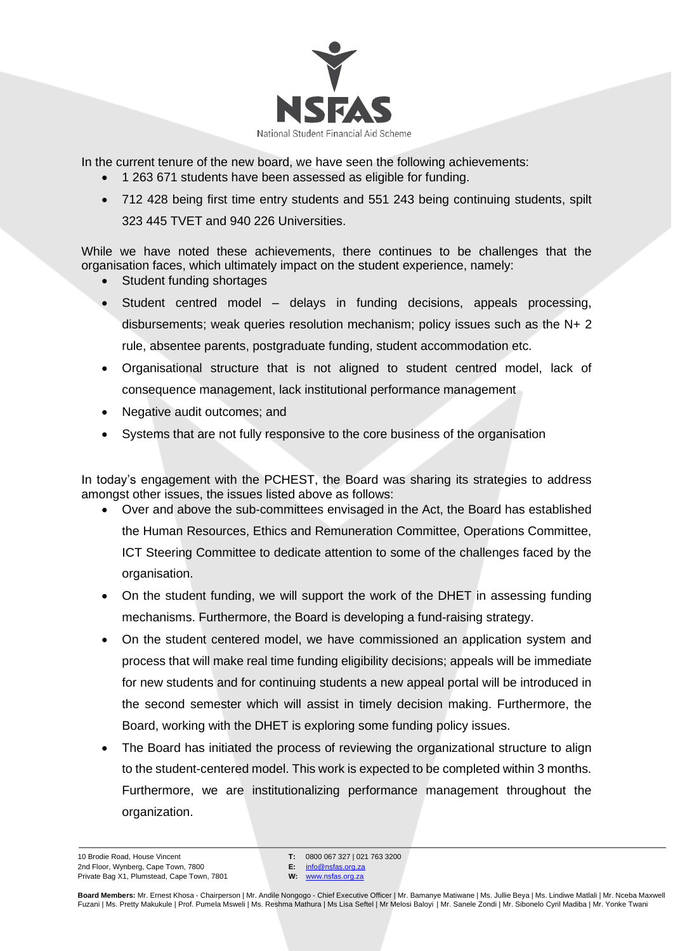

In the current tenure of the new board, we have seen the following achievements:

- 1 263 671 students have been assessed as eligible for funding.
- 712 428 being first time entry students and 551 243 being continuing students, spilt 323 445 TVET and 940 226 Universities.

While we have noted these achievements, there continues to be challenges that the organisation faces, which ultimately impact on the student experience, namely:

- Student funding shortages
- Student centred model delays in funding decisions, appeals processing, disbursements; weak queries resolution mechanism; policy issues such as the N+ 2 rule, absentee parents, postgraduate funding, student accommodation etc.
- Organisational structure that is not aligned to student centred model, lack of consequence management, lack institutional performance management
- Negative audit outcomes; and
- Systems that are not fully responsive to the core business of the organisation

In today's engagement with the PCHEST, the Board was sharing its strategies to address amongst other issues, the issues listed above as follows:

- Over and above the sub-committees envisaged in the Act, the Board has established the Human Resources, Ethics and Remuneration Committee, Operations Committee, ICT Steering Committee to dedicate attention to some of the challenges faced by the organisation.
- On the student funding, we will support the work of the DHET in assessing funding mechanisms. Furthermore, the Board is developing a fund-raising strategy.
- On the student centered model, we have commissioned an application system and process that will make real time funding eligibility decisions; appeals will be immediate for new students and for continuing students a new appeal portal will be introduced in the second semester which will assist in timely decision making. Furthermore, the Board, working with the DHET is exploring some funding policy issues.
- The Board has initiated the process of reviewing the organizational structure to align to the student-centered model. This work is expected to be completed within 3 months. Furthermore, we are institutionalizing performance management throughout the organization.

**T:** 0800 067 327 | 021 763 3200 **E:** [info@nsfas.org.za](mailto:info@nsfas.org.za)

**W:** [www.nsfas.org.za](http://www.nsfas.org.za/)